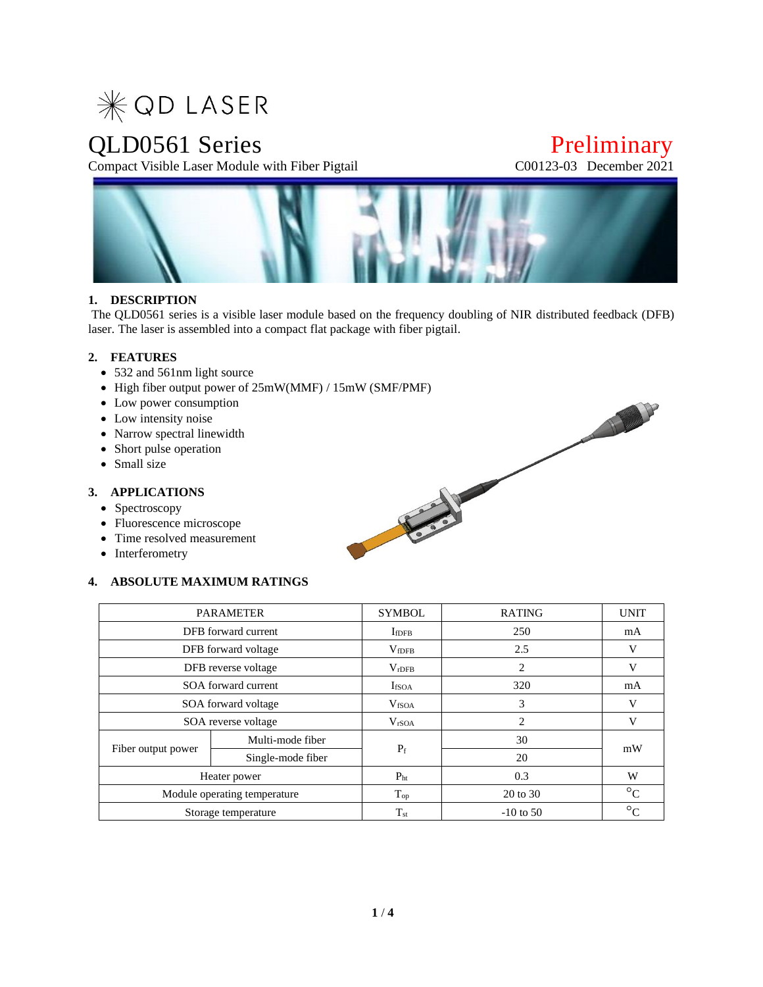

Compact Visible Laser Module with Fiber Pigtail

# QLD0561 Series<br>
Compact Visible Laser Module with Fiber Pigtail<br>
C00123-03 December 2021



## **1. DESCRIPTION**

The QLD0561 series is a visible laser module based on the frequency doubling of NIR distributed feedback (DFB) laser. The laser is assembled into a compact flat package with fiber pigtail.

#### **2. FEATURES**

- 532 and 561nm light source
- High fiber output power of 25mW(MMF) / 15mW (SMF/PMF)
- Low power consumption
- Low intensity noise
- Narrow spectral linewidth
- Short pulse operation
- Small size

#### **3. APPLICATIONS**

- Spectroscopy
- Fluorescence microscope
- Time resolved measurement
- Interferometry

#### **4. ABSOLUTE MAXIMUM RATINGS**

|                              | <b>PARAMETER</b>  | <b>SYMBOL</b>     | <b>RATING</b> | <b>UNIT</b>          |  |
|------------------------------|-------------------|-------------------|---------------|----------------------|--|
| DFB forward current          |                   | $I_{\rm fDFB}$    | 250           | mA                   |  |
| DFB forward voltage          |                   | V <sub>fDFB</sub> | 2.5           | V                    |  |
| DFB reverse voltage          |                   | $V_{rDFB}$        | 2             | V                    |  |
| SOA forward current          |                   | <b>I</b> fSOA     | 320           | mA                   |  |
| SOA forward voltage          |                   | V <sub>fSOA</sub> | 3             | v                    |  |
| SOA reverse voltage          |                   | V <sub>rSOA</sub> | 2             | V                    |  |
| Fiber output power           | Multi-mode fiber  |                   | 30            | mW                   |  |
|                              | Single-mode fiber | $P_f$             | 20            |                      |  |
| Heater power                 |                   | $P_{ht}$          | 0.3           | W                    |  |
| Module operating temperature |                   | $T_{op}$          | 20 to 30      | $\circ_{\rm C}$      |  |
| Storage temperature          |                   | $T_{\rm st}$      | $-10$ to 50   | $\circ_{\mathsf{C}}$ |  |

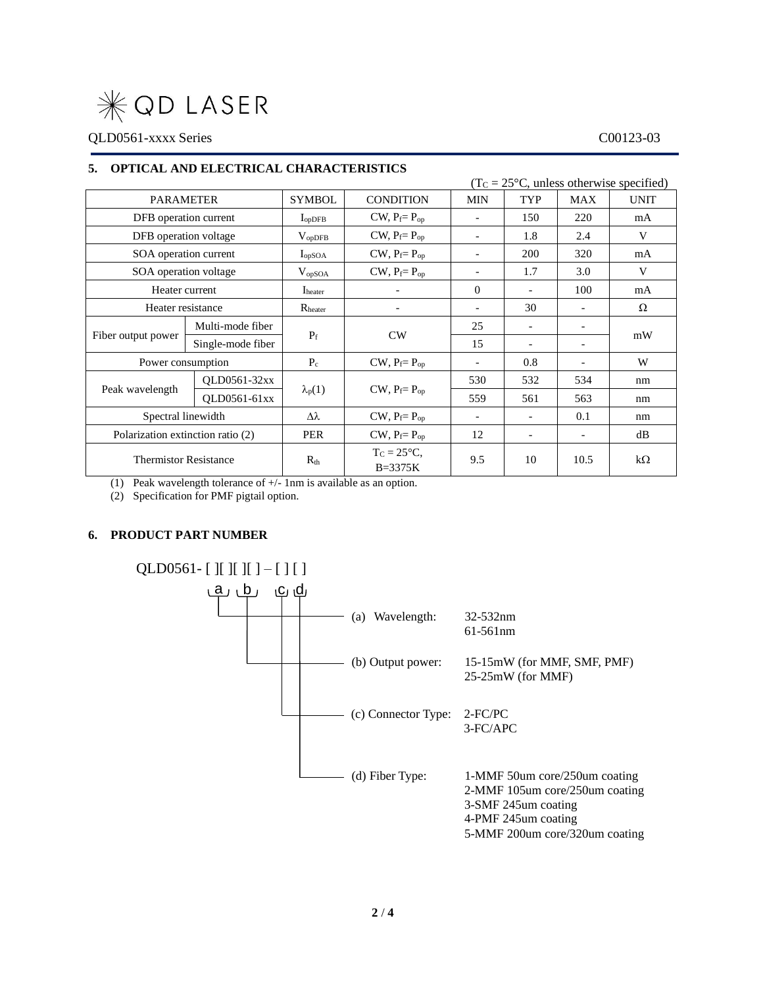

QLD0561-xxxx Series C00123-03

#### **5. OPTICAL AND ELECTRICAL CHARACTERISTICS**

|                                   | $(TC = 25oC, unless otherwise specified)$ |                     |                             |                          |                          |                          |             |
|-----------------------------------|-------------------------------------------|---------------------|-----------------------------|--------------------------|--------------------------|--------------------------|-------------|
| <b>PARAMETER</b>                  |                                           | <b>SYMBOL</b>       | <b>CONDITION</b>            | <b>MIN</b>               | TYP                      | <b>MAX</b>               | <b>UNIT</b> |
| DFB operation current             |                                           | $I_{opDFB}$         | $CW, P_f = P_{op}$          | $\overline{\phantom{a}}$ | 150                      | 220                      | mA          |
| DFB operation voltage             |                                           | $V_{opDFB}$         | $CW, P_f = P_{op}$          | $\overline{\phantom{a}}$ | 1.8                      | 2.4                      | V           |
| SOA operation current             |                                           | I <sub>opSOA</sub>  | $CW, P_f = P_{op}$          |                          | 200                      | 320                      | mA          |
| SOA operation voltage             |                                           | $V_{opSOA}$         | $CW, P_f = P_{op}$          |                          | 1.7                      | 3.0                      | V           |
| Heater current                    |                                           | I <sub>heater</sub> |                             | $\theta$                 |                          | 100                      | mA          |
| Heater resistance                 |                                           | R <sub>heater</sub> |                             | $\overline{\phantom{a}}$ | 30                       | $\overline{\phantom{a}}$ | Ω           |
| Fiber output power                | Multi-mode fiber                          | $P_f$               | CW                          | 25                       |                          |                          | mW          |
|                                   | Single-mode fiber                         |                     |                             | 15                       |                          |                          |             |
| Power consumption                 |                                           | $P_c$               | $CW, P_f = P_{op}$          | $\overline{\phantom{a}}$ | 0.8                      | $\overline{\phantom{a}}$ | W           |
| Peak wavelength                   | QLD0561-32xx                              | $\lambda_p(1)$      | $CW, P_f = P_{op}$          | 530                      | 532                      | 534                      | nm          |
|                                   | QLD0561-61xx                              |                     |                             | 559                      | 561                      | 563                      | nm          |
| Spectral linewidth                |                                           | Δλ                  | $CW, P_f = P_{op}$          | $\overline{\phantom{a}}$ | $\overline{\phantom{a}}$ | 0.1                      | nm          |
| Polarization extinction ratio (2) |                                           | <b>PER</b>          | $CW, P_f = P_{op}$          | 12                       | $\overline{\phantom{a}}$ | $\overline{\phantom{a}}$ | dB          |
| <b>Thermistor Resistance</b>      |                                           | $R_{th}$            | $T_c = 25$ °C.<br>$B=3375K$ | 9.5                      | 10                       | 10.5                     | $k\Omega$   |

(1) Peak wavelength tolerance of +/- 1nm is available as an option.

(2) Specification for PMF pigtail option.

#### **6. PRODUCT PART NUMBER**

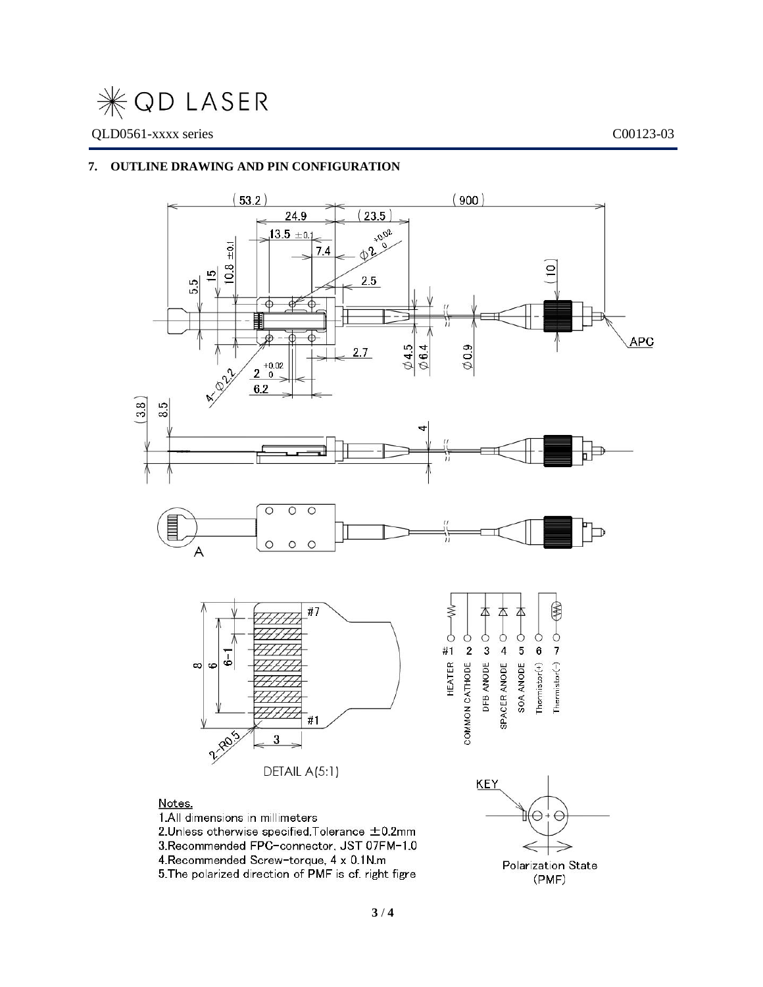

## **7. OUTLINE DRAWING AND PIN CONFIGURATION**